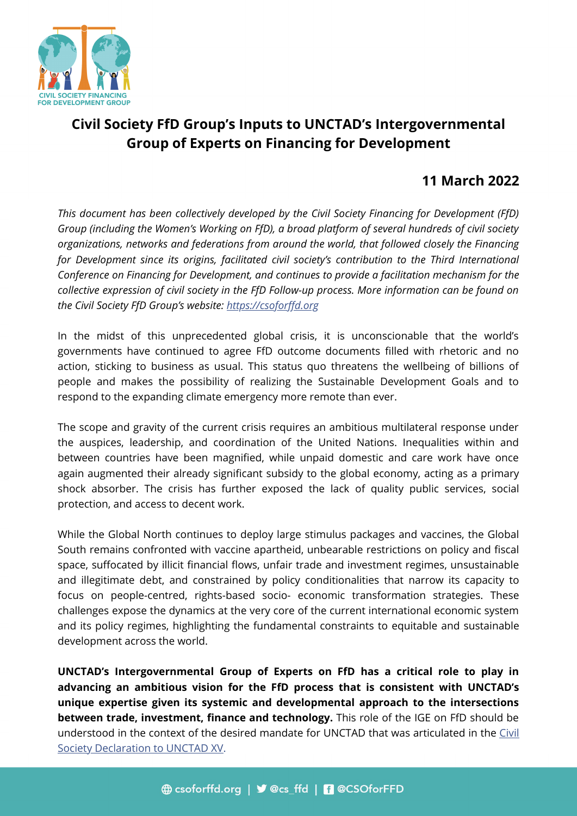

## **Civil Society FfD Group's Inputs to UNCTAD's Intergovernmental Group of Experts on Financing for Development**

## **11 March 2022**

*This document has been collectively developed by the Civil Society Financing for Development (FfD) Group (including the Women's Working on FfD), a broad platform of several hundreds of civil society organizations, networks and federations from around the world, that followed closely the Financing for Development since its origins, facilitated civil society's contribution to the Third International Conference on Financing for Development, and continues to provide a facilitation mechanism for the collective expression of civil society in the FfD Follow-up process. More information can be found on the Civil Society FfD Group's website: [https://csoforffd.org](https://csoforffd.org/)*

In the midst of this unprecedented global crisis, it is unconscionable that the world's governments have continued to agree FfD outcome documents filled with rhetoric and no action, sticking to business as usual. This status quo threatens the wellbeing of billions of people and makes the possibility of realizing the Sustainable Development Goals and to respond to the expanding climate emergency more remote than ever.

The scope and gravity of the current crisis requires an ambitious multilateral response under the auspices, leadership, and coordination of the United Nations. Inequalities within and between countries have been magnified, while unpaid domestic and care work have once again augmented their already significant subsidy to the global economy, acting as a primary shock absorber. The crisis has further exposed the lack of quality public services, social protection, and access to decent work.

While the Global North continues to deploy large stimulus packages and vaccines, the Global South remains confronted with vaccine apartheid, unbearable restrictions on policy and fiscal space, suffocated by illicit financial flows, unfair trade and investment regimes, unsustainable and illegitimate debt, and constrained by policy conditionalities that narrow its capacity to focus on people-centred, rights-based socio- economic transformation strategies. These challenges expose the dynamics at the very core of the current international economic system and its policy regimes, highlighting the fundamental constraints to equitable and sustainable development across the world.

**UNCTAD's Intergovernmental Group of Experts on FfD has a critical role to play in advancing an ambitious vision for the FfD process that is consistent with UNCTAD's unique expertise given its systemic and developmental approach to the intersections between trade, investment, finance and technology.** This role of the IGE on FfD should be [understood](https://csoforffd.org/2021/10/11/civil-society-declaration-for-unctad-xv/) in the context of the desired mandate for UNCTAD that was articulated in the Civil Society Declaration to UNCTAD XV.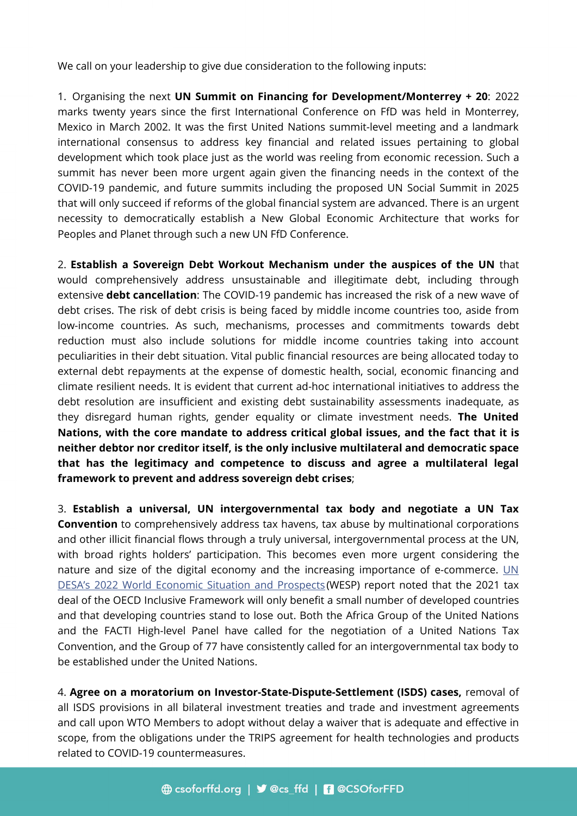We call on your leadership to give due consideration to the following inputs:

1. Organising the next UN Summit on Financing for Development/Monterrey + 20: 2022 marks twenty years since the first International Conference on FfD was held in Monterrey, Mexico in March 2002. It was the first United Nations summit-level meeting and a landmark international consensus to address key financial and related issues pertaining to global development which took place just as the world was reeling from economic recession. Such a summit has never been more urgent again given the financing needs in the context of the COVID-19 pandemic, and future summits including the proposed UN Social Summit in 2025 that will only succeed if reforms of the global financial system are advanced. There is an urgent necessity to democratically establish a New Global Economic Architecture that works for Peoples and Planet through such a new UN FfD Conference.

2. **Establish a Sovereign Debt Workout Mechanism under the auspices of the UN** that would comprehensively address unsustainable and illegitimate debt, including through extensive **debt cancellation**: The COVID-19 pandemic has increased the risk of a new wave of debt crises. The risk of debt crisis is being faced by middle income countries too, aside from low-income countries. As such, mechanisms, processes and commitments towards debt reduction must also include solutions for middle income countries taking into account peculiarities in their debt situation. Vital public financial resources are being allocated today to external debt repayments at the expense of domestic health, social, economic financing and climate resilient needs. It is evident that current ad-hoc international initiatives to address the debt resolution are insufficient and existing debt sustainability assessments inadequate, as they disregard human rights, gender equality or climate investment needs. **The United Nations, with the core mandate to address critical global issues, and the fact that it is neither debtor nor creditor itself, is the only inclusive multilateral and democratic space that has the legitimacy and competence to discuss and agree a multilateral legal framework to prevent and address sovereign debt crises**;

3. **Establish a universal, UN intergovernmental tax body and negotiate a UN Tax Convention** to comprehensively address tax havens, tax abuse by multinational corporations and other illicit financial flows through a truly universal, intergovernmental process at the UN, with broad rights holders' participation. This becomes even more urgent considering the nature and size of the digital economy and the increasing importance of e-commerce. UN DESA's 2022 World Economic Situation and [Prospects](https://www.un.org/development/desa/dpad/wp-content/uploads/sites/45/publication/WESP2022_web.pdf) (WESP) report noted that the 2021 tax deal of the OECD Inclusive Framework will only benefit a small number of developed countries and that developing countries stand to lose out. Both the Africa Group of the United Nations and the FACTI High-level Panel have called for the negotiation of a United Nations Tax Convention, and the Group of 77 have consistently called for an intergovernmental tax body to be established under the United Nations.

4. **Agree on a moratorium on Investor-State-Dispute-Settlement (ISDS) cases,** removal of all ISDS provisions in all bilateral investment treaties and trade and investment agreements and call upon WTO Members to adopt without delay a waiver that is adequate and effective in scope, from the obligations under the TRIPS agreement for health technologies and products related to COVID-19 countermeasures.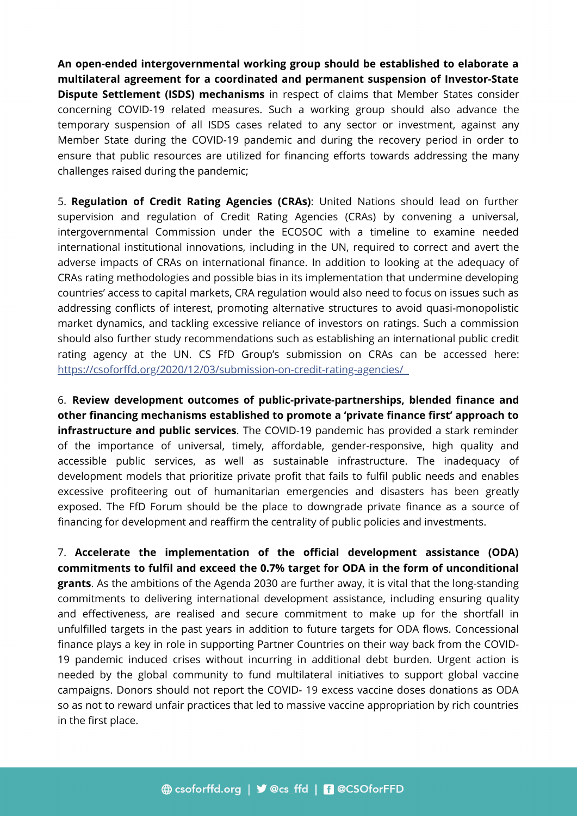**An open-ended intergovernmental working group should be established to elaborate a multilateral agreement for a coordinated and permanent suspension of Investor-State Dispute Settlement (ISDS) mechanisms** in respect of claims that Member States consider concerning COVID-19 related measures. Such a working group should also advance the temporary suspension of all ISDS cases related to any sector or investment, against any Member State during the COVID-19 pandemic and during the recovery period in order to ensure that public resources are utilized for financing efforts towards addressing the many challenges raised during the pandemic;

5. **Regulation of Credit Rating Agencies (CRAs)**: United Nations should lead on further supervision and regulation of Credit Rating Agencies (CRAs) by convening a universal, intergovernmental Commission under the ECOSOC with a timeline to examine needed international institutional innovations, including in the UN, required to correct and avert the adverse impacts of CRAs on international finance. In addition to looking at the adequacy of CRAs rating methodologies and possible bias in its implementation that undermine developing countries' access to capital markets, CRA regulation would also need to focus on issues such as addressing conflicts of interest, promoting alternative structures to avoid quasi-monopolistic market dynamics, and tackling excessive reliance of investors on ratings. Such a commission should also further study recommendations such as establishing an international public credit rating agency at the UN. CS FfD Group's submission on CRAs can be accessed here: <https://csoforffd.org/2020/12/03/submission-on-credit-rating-agencies/>

6.a**Review development outcomes of public-private-partnerships, blended finance and other financing mechanisms established to promote a 'private finance first' approach to infrastructure and public services**. The COVID-19 pandemic has provided a stark reminder of the importance of universal, timely, affordable, gender-responsive, high quality and accessible public services, as well as sustainable infrastructure. The inadequacy of development models that prioritize private profit that fails to fulfil public needs and enables excessive profiteering out of humanitarian emergencies and disasters has been greatly exposed. The FfD Forum should be the place to downgrade private finance as a source of financing for development and reaffirm the centrality of public policies and investments.

7. **Accelerate the implementation of the official development assistance (ODA) commitments to fulfil and exceed the 0.7% target for ODA in the form of unconditional grants**. As the ambitions of the Agenda 2030 are further away, it is vital that the long-standing commitments to delivering international development assistance, including ensuring quality and effectiveness, are realised and secure commitment to make up for the shortfall in unfulfilled targets in the past years in addition to future targets for ODA flows. Concessional finance plays a key in role in supporting Partner Countries on their way back from the COVID-19 pandemic induced crises without incurring in additional debt burden. Urgent action is needed by the global community to fund multilateral initiatives to support global vaccine campaigns. Donors should not report the COVID- 19 excess vaccine doses donations as ODA so as not to reward unfair practices that led to massive vaccine appropriation by rich countries in the first place.